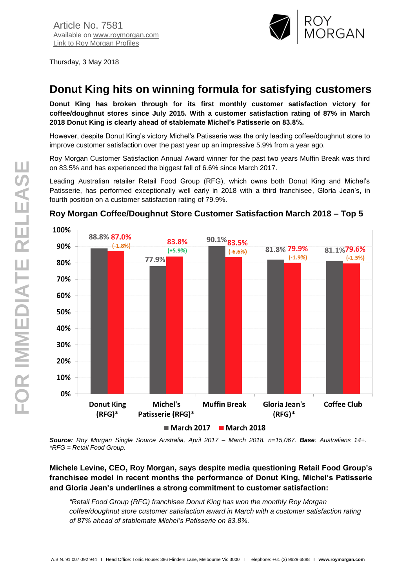

Thursday, 3 May 2018

# **Donut King hits on winning formula for satisfying customers**

**Donut King has broken through for its first monthly customer satisfaction victory for coffee/doughnut stores since July 2015. With a customer satisfaction rating of 87% in March 2018 Donut King is clearly ahead of stablemate Michel's Patisserie on 83.8%.**

However, despite Donut King's victory Michel's Patisserie was the only leading coffee/doughnut store to improve customer satisfaction over the past year up an impressive 5.9% from a year ago.

Roy Morgan Customer Satisfaction Annual Award winner for the past two years Muffin Break was third on 83.5% and has experienced the biggest fall of 6.6% since March 2017.

Leading Australian retailer Retail Food Group (RFG), which owns both Donut King and Michel's Patisserie, has performed exceptionally well early in 2018 with a third franchisee, Gloria Jean's, in fourth position on a customer satisfaction rating of 79.9%.



## **Roy Morgan Coffee/Doughnut Store Customer Satisfaction March 2018 – Top 5**

*Source: Roy Morgan Single Source Australia, April 2017 – March 2018. n=15,067. Base: Australians 14+. \*RFG = Retail Food Group.*

### **Michele Levine, CEO, Roy Morgan, says despite media questioning Retail Food Group's franchisee model in recent months the performance of Donut King, Michel's Patisserie and Gloria Jean's underlines a strong commitment to customer satisfaction:**

*"Retail Food Group (RFG) franchisee Donut King has won the monthly Roy Morgan coffee/doughnut store customer satisfaction award in March with a customer satisfaction rating of 87% ahead of stablemate Michel's Patisserie on 83.8%.*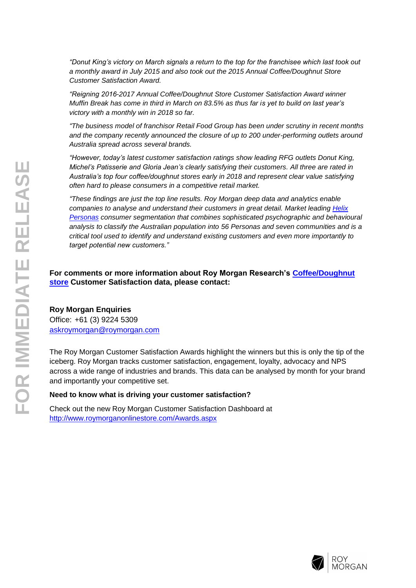*"Donut King's victory on March signals a return to the top for the franchisee which last took out a monthly award in July 2015 and also took out the 2015 Annual Coffee/Doughnut Store Customer Satisfaction Award.*

*"Reigning 2016-2017 Annual Coffee/Doughnut Store Customer Satisfaction Award winner Muffin Break has come in third in March on 83.5% as thus far is yet to build on last year's victory with a monthly win in 2018 so far.*

*"The business model of franchisor Retail Food Group has been under scrutiny in recent months and the company recently announced the closure of up to 200 under-performing outlets around Australia spread across several brands.*

*"However, today's latest customer satisfaction ratings show leading RFG outlets Donut King, Michel's Patisserie and Gloria Jean's clearly satisfying their customers. All three are rated in Australia's top four coffee/doughnut stores early in 2018 and represent clear value satisfying often hard to please consumers in a competitive retail market.*

*"These findings are just the top line results. Roy Morgan deep data and analytics enable companies to analyse and understand their customers in great detail. Market leading [Helix](http://www.helixpersonas.com.au/)  [Personas](http://www.helixpersonas.com.au/) consumer segmentation that combines sophisticated psychographic and behavioural analysis to classify the Australian population into 56 Personas and seven communities and is a critical tool used to identify and understand existing customers and even more importantly to target potential new customers."*

#### **For comments or more information about Roy Morgan Research's [Coffee/Doughnut](http://www.roymorganonlinestore.com/Browse/Australia/Retail/Coffee-Doughnut-Stores.aspx)  [store](http://www.roymorganonlinestore.com/Browse/Australia/Retail/Coffee-Doughnut-Stores.aspx) Customer Satisfaction data, please contact:**

#### **Roy Morgan Enquiries**

Office: +61 (3) 9224 5309 [askroymorgan@roymorgan.com](mailto:askroymorgan@roymorgan.com)

The Roy Morgan Customer Satisfaction Awards highlight the winners but this is only the tip of the iceberg. Roy Morgan tracks customer satisfaction, engagement, loyalty, advocacy and NPS across a wide range of industries and brands. This data can be analysed by month for your brand and importantly your competitive set.

#### **Need to know what is driving your customer satisfaction?**

Check out the new Roy Morgan Customer Satisfaction Dashboard at <http://www.roymorganonlinestore.com/Awards.aspx>